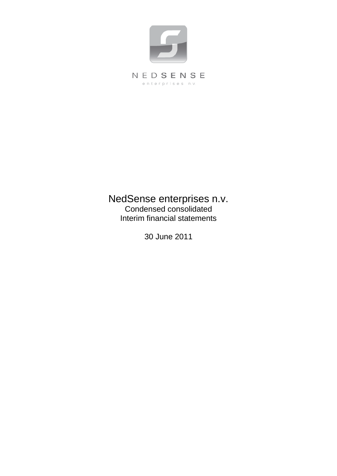

# NedSense enterprises n.v. Condensed consolidated Interim financial statements

30 June 2011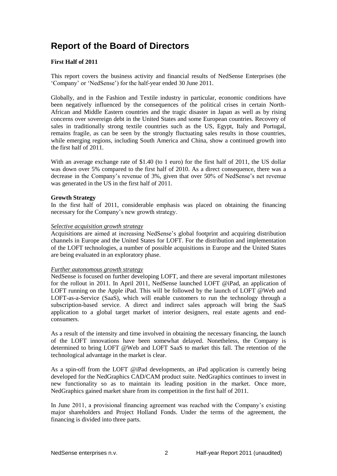# **Report of the Board of Directors**

### **First Half of 2011**

This report covers the business activity and financial results of NedSense Enterprises (the 'Company' or 'NedSense') for the half-year ended 30 June 2011.

Globally, and in the Fashion and Textile industry in particular, economic conditions have been negatively influenced by the consequences of the political crises in certain North-African and Middle Eastern countries and the tragic disaster in Japan as well as by rising concerns over sovereign debt in the United States and some European countries. Recovery of sales in traditionally strong textile countries such as the US, Egypt, Italy and Portugal, remains fragile, as can be seen by the strongly fluctuating sales results in those countries, while emerging regions, including South America and China, show a continued growth into the first half of 2011.

With an average exchange rate of \$1.40 (to 1 euro) for the first half of 2011, the US dollar was down over 5% compared to the first half of 2010. As a direct consequence, there was a decrease in the Company's revenue of 3%, given that over 50% of NedSense's net revenue was generated in the US in the first half of 2011.

### **Growth Strategy**

In the first half of 2011, considerable emphasis was placed on obtaining the financing necessary for the Company's new growth strategy.

### *Selective acquisition growth strategy*

Acquisitions are aimed at increasing NedSense's global footprint and acquiring distribution channels in Europe and the United States for LOFT. For the distribution and implementation of the LOFT technologies, a number of possible acquisitions in Europe and the United States are being evaluated in an exploratory phase.

### *Further autonomous growth strategy*

NedSense is focused on further developing LOFT, and there are several important milestones for the rollout in 2011. In April 2011, NedSense launched LOFT @iPad, an application of LOFT running on the Apple iPad. This will be followed by the launch of LOFT @Web and LOFT-as-a-Service (SaaS), which will enable customers to run the technology through a subscription-based service. A direct and indirect sales approach will bring the SaaS application to a global target market of interior designers, real estate agents and endconsumers.

As a result of the intensity and time involved in obtaining the necessary financing, the launch of the LOFT innovations have been somewhat delayed. Nonetheless, the Company is determined to bring LOFT @Web and LOFT SaaS to market this fall. The retention of the technological advantage in the market is clear.

As a spin-off from the LOFT @iPad developments, an iPad application is currently being developed for the NedGraphics CAD/CAM product suite. NedGraphics continues to invest in new functionality so as to maintain its leading position in the market. Once more, NedGraphics gained market share from its competition in the first half of 2011.

In June 2011, a provisional financing agreement was reached with the Company's existing major shareholders and Project Holland Fonds. Under the terms of the agreement, the financing is divided into three parts.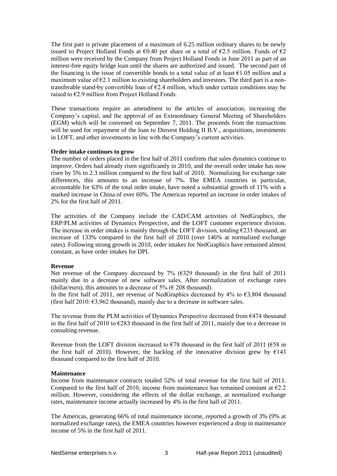The first part is private placement of a maximum of 6.25 million ordinary shares to be newly issued to Project Holland Fonds at  $\epsilon$ 0.40 per share or a total of  $\epsilon$ 2.5 million. Funds of  $\epsilon$ 2 million were received by the Company from Project Holland Fonds in June 2011 as part of an interest-free equity bridge loan until the shares are authorized and issued. The second part of the financing is the issue of convertible bonds to a total value of at least  $\epsilon$ 1.05 million and a maximum value of  $E$ . 1 million to existing shareholders and investors. The third part is a nontransferable stand-by convertible loan of  $E2.4$  million, which under certain conditions may be raised to €2.9 million from Project Holland Fonds.

These transactions require an amendment to the articles of association, increasing the Company's capital, and the approval of an Extraordinary General Meeting of Shareholders (EGM) which will be convened on September 7, 2011. The proceeds from the transactions will be used for repayment of the loan to Dinvest Holding II B.V., acquisitions, investments in LOFT, and other investments in line with the Company's current activities.

#### **Order intake continues to grow**

The number of orders placed in the first half of 2011 confirms that sales dynamics continue to improve. Orders had already risen significantly in 2010, and the overall order intake has now risen by 5% to 2.3 million compared to the first half of 2010. Normalizing for exchange rate differences, this amounts to an increase of 7%. The EMEA countries in particular, accountable for 63% of the total order intake, have noted a substantial growth of 11% with a marked increase in China of over 60%. The Americas reported an increase in order intakes of 2% for the first half of 2011.

The activities of the Company include the CAD/CAM activities of NedGraphics, the ERP/PLM activities of Dynamics Perspective, and the LOFT customer experience division. The increase in order intakes is mainly through the LOFT division, totaling  $\epsilon$ 233 thousand, an increase of 133% compared to the first half of 2010 (over 146% at normalized exchange rates). Following strong growth in 2010, order intakes for NedGraphics have remained almost constant, as have order intakes for DPI.

#### **Revenue**

Net revenue of the Company decreased by  $7\%$  ( $6329$  thousand) in the first half of 2011 mainly due to a decrease of new software sales. After normalization of exchange rates (dollar/euro), this amounts to a decrease of 5% ( $\epsilon$  208 thousand).

In the first half of 2011, net revenue of NedGraphics decreased by 4% to  $\epsilon$ 3,804 thousand (first half 2010:  $\epsilon$ 3,962 thousand), mainly due to a decrease in software sales.

The revenue from the PLM activities of Dynamics Perspective decreased from  $\epsilon$ 474 thousand in the first half of 2010 to  $\epsilon$ 283 thousand in the first half of 2011, mainly due to a decrease in consulting revenue.

Revenue from the LOFT division increased to  $\epsilon$ 78 thousand in the first half of 2011 ( $\epsilon$ 58 in the first half of 2010). However, the backlog of the innovative division grew by  $\epsilon$ 143 thousand compared to the first half of 2010.

### **Maintenance**

Income from maintenance contracts totaled 52% of total revenue for the first half of 2011. Compared to the first half of 2010, income from maintenance has remained constant at  $E$ 2.2 million. However, considering the effects of the dollar exchange, at normalized exchange rates, maintenance income actually increased by 4% in the first half of 2011.

The Americas, generating 66% of total maintenance income, reported a growth of 3% (9% at normalized exchange rates), the EMEA countries however experienced a drop in maintenance income of 5% in the first half of 2011.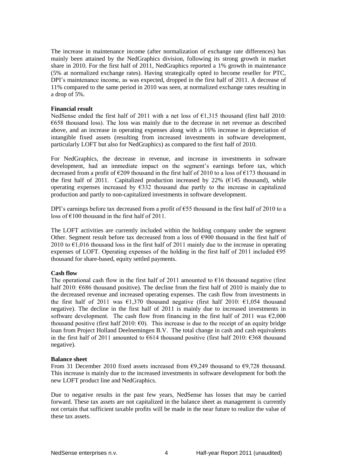The increase in maintenance income (after normalization of exchange rate differences) has mainly been attained by the NedGraphics division, following its strong growth in market share in 2010. For the first half of 2011, NedGraphics reported a 1% growth in maintenance (5% at normalized exchange rates). Having strategically opted to become reseller for PTC, DPI's maintenance income, as was expected, dropped in the first half of 2011. A decrease of 11% compared to the same period in 2010 was seen, at normalized exchange rates resulting in a drop of 5%.

### **Financial result**

NedSense ended the first half of 2011 with a net loss of  $\epsilon$ 1.315 thousand (first half 2010: €658 thousand loss). The loss was mainly due to the decrease in net revenue as described above, and an increase in operating expenses along with a 16% increase in depreciation of intangible fixed assets (resulting from increased investments in software development, particularly LOFT but also for NedGraphics) as compared to the first half of 2010.

For NedGraphics, the decrease in revenue, and increase in investments in software development, had an immediate impact on the segment's earnings before tax, which decreased from a profit of  $\epsilon$ 209 thousand in the first half of 2010 to a loss of  $\epsilon$ 173 thousand in the first half of 2011. Capitalized production increased by 22% ( $\epsilon$ 145 thousand), while operating expenses increased by  $\epsilon$ 332 thousand due partly to the increase in capitalized production and partly to non-capitalized investments in software development.

DPI's earnings before tax decreased from a profit of  $\epsilon$ 55 thousand in the first half of 2010 to a loss of  $\epsilon$ 100 thousand in the first half of 2011.

The LOFT activities are currently included within the holding company under the segment Other. Segment result before tax decreased from a loss of €900 thousand in the first half of 2010 to  $\epsilon$ 1,016 thousand loss in the first half of 2011 mainly due to the increase in operating expenses of LOFT. Operating expenses of the holding in the first half of 2011 included  $\epsilon$ 95 thousand for share-based, equity settled payments.

### **Cash flow**

The operational cash flow in the first half of 2011 amounted to  $\epsilon$ 16 thousand negative (first half 2010: €686 thousand positive). The decline from the first half of 2010 is mainly due to the decreased revenue and increased operating expenses. The cash flow from investments in the first half of 2011 was  $\epsilon$ 1,370 thousand negative (first half 2010:  $\epsilon$ 1,054 thousand negative). The decline in the first half of 2011 is mainly due to increased investments in software development. The cash flow from financing in the first half of  $2011$  was  $62,000$ thousand positive (first half 2010:  $\epsilon$ 0). This increase is due to the receipt of an equity bridge loan from Project Holland Deelnemingen B.V. The total change in cash and cash equivalents in the first half of 2011 amounted to  $6614$  thousand positive (first half 2010:  $6368$  thousand negative).

### **Balance sheet**

From 31 December 2010 fixed assets increased from  $\epsilon$ 9,249 thousand to  $\epsilon$ 9,728 thousand. This increase is mainly due to the increased investments in software development for both the new LOFT product line and NedGraphics.

Due to negative results in the past few years, NedSense has losses that may be carried forward. These tax assets are not capitalized in the balance sheet as management is currently not certain that sufficient taxable profits will be made in the near future to realize the value of these tax assets.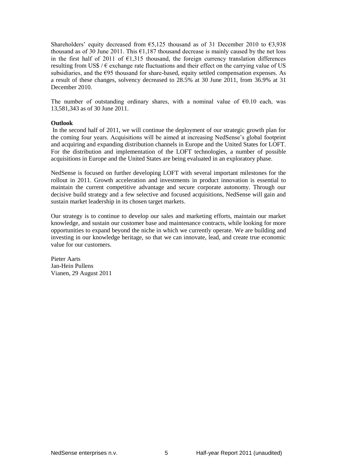Shareholders' equity decreased from  $\epsilon$ 5,125 thousand as of 31 December 2010 to  $\epsilon$ 3,938 thousand as of 30 June 2011. This  $\epsilon$ 1,187 thousand decrease is mainly caused by the net loss in the first half of 2011 of  $E1,315$  thousand, the foreign currency translation differences resulting from US\$ /  $\epsilon$  exchange rate fluctuations and their effect on the carrying value of US subsidiaries, and the  $E95$  thousand for share-based, equity settled compensation expenses. As a result of these changes, solvency decreased to 28.5% at 30 June 2011, from 36.9% at 31 December 2010.

The number of outstanding ordinary shares, with a nominal value of  $\epsilon$ 0.10 each, was 13,581,343 as of 30 June 2011.

### **Outlook**

In the second half of 2011, we will continue the deployment of our strategic growth plan for the coming four years. Acquisitions will be aimed at increasing NedSense's global footprint and acquiring and expanding distribution channels in Europe and the United States for LOFT. For the distribution and implementation of the LOFT technologies, a number of possible acquisitions in Europe and the United States are being evaluated in an exploratory phase.

NedSense is focused on further developing LOFT with several important milestones for the rollout in 2011. Growth acceleration and investments in product innovation is essential to maintain the current competitive advantage and secure corporate autonomy. Through our decisive build strategy and a few selective and focused acquisitions, NedSense will gain and sustain market leadership in its chosen target markets.

Our strategy is to continue to develop our sales and marketing efforts, maintain our market knowledge, and sustain our customer base and maintenance contracts, while looking for more opportunities to expand beyond the niche in which we currently operate. We are building and investing in our knowledge heritage, so that we can innovate, lead, and create true economic value for our customers.

Pieter Aarts Jan-Hein Pullens Vianen, 29 August 2011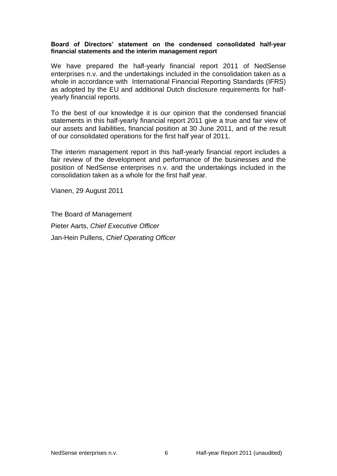### **Board of Directors' statement on the condensed consolidated half-year financial statements and the interim management report**

We have prepared the half-yearly financial report 2011 of NedSense enterprises n.v. and the undertakings included in the consolidation taken as a whole in accordance with International Financial Reporting Standards (IFRS) as adopted by the EU and additional Dutch disclosure requirements for halfyearly financial reports.

To the best of our knowledge it is our opinion that the condensed financial statements in this half-yearly financial report 2011 give a true and fair view of our assets and liabilities, financial position at 30 June 2011, and of the result of our consolidated operations for the first half year of 2011.

The interim management report in this half-yearly financial report includes a fair review of the development and performance of the businesses and the position of NedSense enterprises n.v. and the undertakings included in the consolidation taken as a whole for the first half year.

Vianen, 29 August 2011

The Board of Management Pieter Aarts, *Chief Executive Officer* Jan-Hein Pullens, *Chief Operating Officer*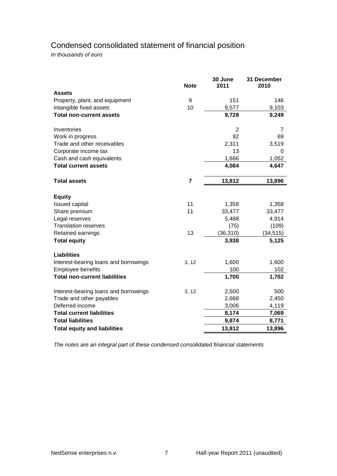# Condensed consolidated statement of financial position

*In thousands of euro*

|                                       | <b>Note</b>             | 30 June<br>2011 | 31 December<br>2010 |
|---------------------------------------|-------------------------|-----------------|---------------------|
| <b>Assets</b>                         |                         |                 |                     |
| Property, plant, and equipment        | 9                       | 151             | 146                 |
| Intangible fixed assets               | 10                      | 9,577           | 9,103               |
| <b>Total non-current assets</b>       |                         | 9,728           | 9,249               |
| Inventories                           |                         | $\overline{2}$  | 7                   |
| Work in progress                      |                         | 92              | 69                  |
| Trade and other receivables           |                         | 2,311           | 3,519               |
| Corporate income tax                  |                         | 13              | 0                   |
| Cash and cash equivalents             |                         | 1,666           | 1,052               |
| <b>Total current assets</b>           |                         | 4,084           | 4,647               |
| <b>Total assets</b>                   | $\overline{\mathbf{7}}$ | 13,812          | 13,896              |
| <b>Equity</b>                         |                         |                 |                     |
| <b>Issued capital</b>                 | 11                      | 1,358           | 1,358               |
| Share premium                         | 11                      | 33,477          | 33,477              |
| Legal reserves                        |                         | 5,488           | 4,914               |
| <b>Translation reserves</b>           |                         | (75)            | (109)               |
| Retained earnings                     | 13                      | (36, 310)       | (34, 515)           |
| <b>Total equity</b>                   |                         | 3,938           | 5,125               |
| <b>Liabilities</b>                    |                         |                 |                     |
| Interest-bearing loans and borrowings | 3, 12                   | 1,600           | 1,600               |
| <b>Employee benefits</b>              |                         | 100             | 102                 |
| <b>Total non-current liabilities</b>  |                         | 1,700           | 1,702               |
| Interest-bearing loans and borrowings | 3, 12                   | 2,500           | 500                 |
| Trade and other payables              |                         | 2,668           | 2,450               |
| Deferred income                       |                         | 3,006           | 4,119               |
| <b>Total current liabilities</b>      |                         | 8,174           | 7,069               |
| <b>Total liabilities</b>              |                         | 9,874           | 8,771               |
| <b>Total equity and liabilities</b>   |                         | 13,812          | 13,896              |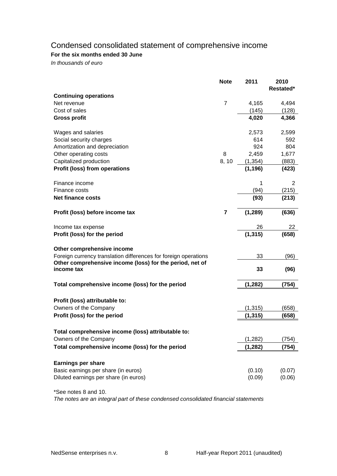## Condensed consolidated statement of comprehensive income

## **For the six months ended 30 June**

*In thousands of euro*

|                                                                                                                             | <b>Note</b>    | 2011     | 2010      |
|-----------------------------------------------------------------------------------------------------------------------------|----------------|----------|-----------|
| <b>Continuing operations</b>                                                                                                |                |          | Restated* |
| Net revenue                                                                                                                 | $\overline{7}$ | 4,165    | 4,494     |
| Cost of sales                                                                                                               |                | (145)    | (128)     |
| <b>Gross profit</b>                                                                                                         |                | 4,020    | 4,366     |
| Wages and salaries                                                                                                          |                | 2,573    | 2,599     |
| Social security charges                                                                                                     |                | 614      | 592       |
| Amortization and depreciation                                                                                               |                | 924      | 804       |
| Other operating costs                                                                                                       | 8              | 2,459    | 1,677     |
| Capitalized production                                                                                                      | 8, 10          | (1, 354) | (883)     |
| Profit (loss) from operations                                                                                               |                | (1, 196) | (423)     |
| Finance income                                                                                                              |                | 1        | 2         |
| Finance costs                                                                                                               |                | (94)     | (215)     |
| Net finance costs                                                                                                           |                | (93)     | (213)     |
| Profit (loss) before income tax                                                                                             | 7              | (1, 289) | (636)     |
| Income tax expense                                                                                                          |                | 26       | 22        |
| Profit (loss) for the period                                                                                                |                | (1, 315) | (658)     |
| Other comprehensive income                                                                                                  |                |          |           |
| Foreign currency translation differences for foreign operations<br>Other comprehensive income (loss) for the period, net of |                | 33       | (96)      |
| income tax                                                                                                                  |                | 33       | (96)      |
| Total comprehensive income (loss) for the period                                                                            |                | (1, 282) | (754)     |
| Profit (loss) attributable to:                                                                                              |                |          |           |
| Owners of the Company                                                                                                       |                | (1, 315) | (658)     |
| Profit (loss) for the period                                                                                                |                | (1, 315) | (658)     |
|                                                                                                                             |                |          |           |
| Total comprehensive income (loss) attributable to:                                                                          |                |          |           |
| Owners of the Company                                                                                                       |                | (1, 282) | (754)     |
| Total comprehensive income (loss) for the period                                                                            |                | (1, 282) | (754)     |
|                                                                                                                             |                |          |           |
| <b>Earnings per share</b><br>Basic earnings per share (in euros)                                                            |                | (0.10)   | (0.07)    |
| Diluted earnings per share (in euros)                                                                                       |                | (0.09)   | (0.06)    |
|                                                                                                                             |                |          |           |

\*See notes 8 and 10.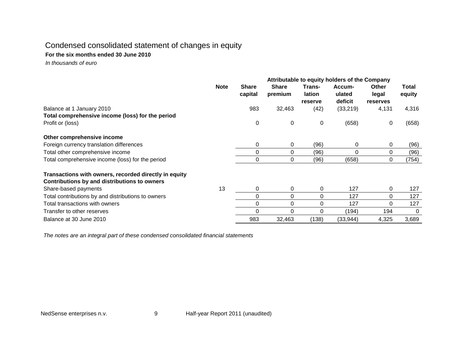## Condensed consolidated statement of changes in equity

## **For the six months ended 30 June 2010**

 *In thousands of euro*

|                                                       | Attributable to equity holders of the Company |                         |                         |                             |                             |                                          |                 |
|-------------------------------------------------------|-----------------------------------------------|-------------------------|-------------------------|-----------------------------|-----------------------------|------------------------------------------|-----------------|
|                                                       | <b>Note</b>                                   | <b>Share</b><br>capital | <b>Share</b><br>premium | Trans-<br>lation<br>reserve | Accum-<br>ulated<br>deficit | <b>Other</b><br>legal<br><b>reserves</b> | Total<br>equity |
| Balance at 1 January 2010                             |                                               | 983                     | 32,463                  | (42)                        | (33, 219)                   | 4,131                                    | 4,316           |
| Total comprehensive income (loss) for the period      |                                               |                         |                         |                             |                             |                                          |                 |
| Profit or (loss)                                      |                                               | 0                       | 0                       | 0                           | (658)                       | 0                                        | (658)           |
| Other comprehensive income                            |                                               |                         |                         |                             |                             |                                          |                 |
| Foreign currency translation differences              |                                               | 0                       | 0                       | (96)                        | 0                           | 0                                        | (96)            |
| Total other comprehensive income                      |                                               | 0                       | 0                       | (96)                        | 0                           | 0                                        | (96)            |
| Total comprehensive income (loss) for the period      |                                               | 0                       | 0                       | (96)                        | (658)                       | 0                                        | (754)           |
| Transactions with owners, recorded directly in equity |                                               |                         |                         |                             |                             |                                          |                 |
| Contributions by and distributions to owners          |                                               |                         |                         |                             |                             |                                          |                 |
| Share-based payments                                  | 13                                            | 0                       | 0                       | 0                           | 127                         | 0                                        | 127             |
| Total contributions by and distributions to owners    |                                               | 0                       | 0                       | 0                           | 127                         | 0                                        | 127             |
| Total transactions with owners                        |                                               | 0                       | 0                       | $\Omega$                    | 127                         | 0                                        | 127             |
| Transfer to other reserves                            |                                               | 0                       | 0                       | $\Omega$                    | (194)                       | 194                                      | 0               |
| Balance at 30 June 2010                               |                                               | 983                     | 32,463                  | (138)                       | (33, 944)                   | 4,325                                    | 3,689           |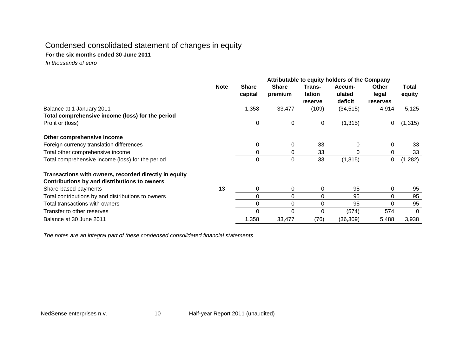## Condensed consolidated statement of changes in equity

## **For the six months ended 30 June 2011**

 *In thousands of euro*

|                                                                                                       | Attributable to equity holders of the Company |                         |                         |                             |                             |                                          |                 |
|-------------------------------------------------------------------------------------------------------|-----------------------------------------------|-------------------------|-------------------------|-----------------------------|-----------------------------|------------------------------------------|-----------------|
|                                                                                                       | <b>Note</b>                                   | <b>Share</b><br>capital | <b>Share</b><br>premium | Trans-<br>lation<br>reserve | Accum-<br>ulated<br>deficit | <b>Other</b><br>legal<br><b>reserves</b> | Total<br>equity |
| Balance at 1 January 2011                                                                             |                                               | 1,358                   | 33,477                  | (109)                       | (34, 515)                   | 4,914                                    | 5,125           |
| Total comprehensive income (loss) for the period                                                      |                                               |                         |                         |                             |                             |                                          |                 |
| Profit or (loss)                                                                                      |                                               | 0                       | 0                       | 0                           | (1, 315)                    | 0                                        | (1, 315)        |
| Other comprehensive income                                                                            |                                               |                         |                         |                             |                             |                                          |                 |
| Foreign currency translation differences                                                              |                                               | 0                       | 0                       | 33                          | 0                           | 0                                        | 33              |
| Total other comprehensive income                                                                      |                                               | 0                       | 0                       | 33                          | $\Omega$                    | 0                                        | 33              |
| Total comprehensive income (loss) for the period                                                      |                                               | $\mathbf 0$             | 0                       | 33                          | (1, 315)                    | 0                                        | (1, 282)        |
| Transactions with owners, recorded directly in equity<br>Contributions by and distributions to owners |                                               |                         |                         |                             |                             |                                          |                 |
| Share-based payments                                                                                  | 13                                            | 0                       | 0                       | 0                           | 95                          | 0                                        | 95              |
| Total contributions by and distributions to owners                                                    |                                               | 0                       | 0                       | 0                           | 95                          | 0                                        | 95              |
| Total transactions with owners                                                                        |                                               | 0                       | 0                       | 0                           | 95                          | 0                                        | 95              |
| Transfer to other reserves                                                                            |                                               | 0                       | 0                       | U                           | (574)                       | 574                                      | 0               |
| Balance at 30 June 2011                                                                               |                                               | 1,358                   | 33,477                  | (76)                        | (36, 309)                   | 5,488                                    | 3,938           |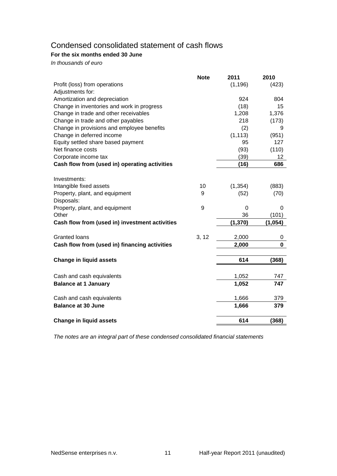## Condensed consolidated statement of cash flows

## **For the six months ended 30 June**

*In thousands of euro*

|                                                | <b>Note</b> | 2011     | 2010    |
|------------------------------------------------|-------------|----------|---------|
| Profit (loss) from operations                  |             | (1, 196) | (423)   |
| Adjustments for:                               |             |          |         |
| Amortization and depreciation                  |             | 924      | 804     |
| Change in inventories and work in progress     |             | (18)     | 15      |
| Change in trade and other receivables          |             | 1,208    | 1,376   |
| Change in trade and other payables             |             | 218      | (173)   |
| Change in provisions and employee benefits     |             | (2)      | 9       |
| Change in deferred income                      |             | (1, 113) | (951)   |
| Equity settled share based payment             |             | 95       | 127     |
| Net finance costs                              |             | (93)     | (110)   |
| Corporate income tax                           |             | (39)     | 12      |
| Cash flow from (used in) operating activities  |             | (16)     | 686     |
|                                                |             |          |         |
| Investments:                                   |             |          |         |
| Intangible fixed assets                        | 10          | (1, 354) | (883)   |
| Property, plant, and equipment                 | 9           | (52)     | (70)    |
| Disposals:                                     |             |          |         |
| Property, plant, and equipment                 | 9           | $\Omega$ | 0       |
| Other                                          |             | 36       | (101)   |
| Cash flow from (used in) investment activities |             | (1, 370) | (1,054) |
|                                                |             |          |         |
| <b>Granted loans</b>                           | 3, 12       | 2,000    | 0       |
| Cash flow from (used in) financing activities  |             | 2,000    | 0       |
| <b>Change in liquid assets</b>                 |             | 614      | (368)   |
|                                                |             |          |         |
|                                                |             |          |         |
| Cash and cash equivalents                      |             | 1,052    | 747     |
| <b>Balance at 1 January</b>                    |             | 1,052    | 747     |
| Cash and cash equivalents                      |             | 1,666    | 379     |
| <b>Balance at 30 June</b>                      |             | 1,666    | 379     |
|                                                |             |          |         |
| <b>Change in liquid assets</b>                 |             | 614      | (368)   |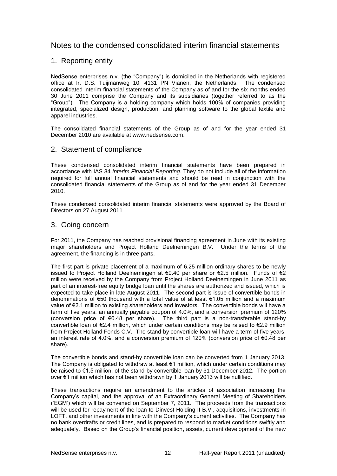## Notes to the condensed consolidated interim financial statements

## 1. Reporting entity

NedSense enterprises n.v. (the "Company") is domiciled in the Netherlands with registered office at Ir. D.S. Tuijmanweg 10, 4131 PN Vianen, the Netherlands. The condensed consolidated interim financial statements of the Company as of and for the six months ended 30 June 2011 comprise the Company and its subsidiaries (together referred to as the "Group"). The Company is a holding company which holds 100% of companies providing integrated, specialized design, production, and planning software to the global textile and apparel industries.

The consolidated financial statements of the Group as of and for the year ended 31 December 2010 are available at www.nedsense.com.

### 2. Statement of compliance

These condensed consolidated interim financial statements have been prepared in accordance with IAS 34 *Interim Financial Reporting*. They do not include all of the information required for full annual financial statements and should be read in conjunction with the consolidated financial statements of the Group as of and for the year ended 31 December 2010.

These condensed consolidated interim financial statements were approved by the Board of Directors on 27 August 2011.

## 3. Going concern

For 2011, the Company has reached provisional financing agreement in June with its existing major shareholders and Project Holland Deelnemingen B.V. Under the terms of the agreement, the financing is in three parts.

The first part is private placement of a maximum of 6.25 million ordinary shares to be newly issued to Project Holland Deelnemingen at €0.40 per share or €2.5 million. Funds of  $€2$ million were received by the Company from Project Holland Deelnemingen in June 2011 as part of an interest-free equity bridge loan until the shares are authorized and issued, which is expected to take place in late August 2011. The second part is issue of convertible bonds in denominations of €50 thousand with a total value of at least €1.05 million and a maximum value of €2.1 million to existing shareholders and investors. The convertible bonds will have a term of five years, an annually payable coupon of 4.0%, and a conversion premium of 120% (conversion price of €0.48 per share). The third part is a non-transferable stand-by convertible loan of €2.4 million, which under certain conditions may be raised to €2.9 million from Project Holland Fonds C.V. The stand-by convertible loan will have a term of five years, an interest rate of 4.0%, and a conversion premium of 120% (conversion price of  $\epsilon$ 0.48 per share).

The convertible bonds and stand-by convertible loan can be converted from 1 January 2013. The Company is obligated to withdraw at least €1 million, which under certain conditions may be raised to €1.5 million, of the stand-by convertible loan by 31 December 2012. The portion over €1 million which has not been withdrawn by 1 January 2013 will be nullified.

These transactions require an amendment to the articles of association increasing the Company"s capital, and the approval of an Extraordinary General Meeting of Shareholders ("EGM") which will be convened on September 7, 2011. The proceeds from the transactions will be used for repayment of the loan to Dinvest Holding II B.V., acquisitions, investments in LOFT, and other investments in line with the Company"s current activities. The Company has no bank overdrafts or credit lines, and is prepared to respond to market conditions swiftly and adequately. Based on the Group"s financial position, assets, current development of the new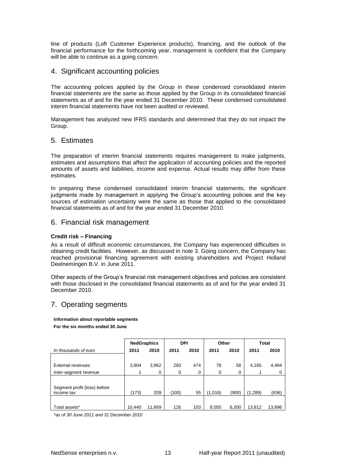line of products (Loft Customer Experience products), financing, and the outlook of the financial performance for the forthcoming year, management is confident that the Company will be able to continue as a going concern.

## 4. Significant accounting policies

The accounting policies applied by the Group in these condensed consolidated interim financial statements are the same as those applied by the Group in its consolidated financial statements as of and for the year ended 31 December 2010. These condensed consolidated interim financial statements have not been audited or reviewed.

Management has analyzed new IFRS standards and determined that they do not impact the Group.

## 5. Estimates

The preparation of interim financial statements requires management to make judgments, estimates and assumptions that affect the application of accounting policies and the reported amounts of assets and liabilities, income and expense. Actual results may differ from these estimates.

In preparing these condensed consolidated interim financial statements, the significant judgments made by management in applying the Group"s accounting policies and the key sources of estimation uncertainty were the same as those that applied to the consolidated financial statements as of and for the year ended 31 December 2010.

## 6. Financial risk management

### **Credit risk – Financing**

As a result of difficult economic circumstances, the Company has experienced difficulties in obtaining credit facilities. However, as discussed in note 3. Going concern, the Company has reached provisional financing agreement with existing shareholders and Project Holland Deelnemingen B.V. in June 2011.

Other aspects of the Group"s financial risk management objectives and policies are consistent with those disclosed in the consolidated financial statements as of and for the year ended 31 December 2010.

## 7. Operating segments

**Information about reportable segments For the six months ended 30 June**

|                              |        | <b>NedGraphics</b> | <b>DPI</b> |      | Other   |       | Total   |        |  |
|------------------------------|--------|--------------------|------------|------|---------|-------|---------|--------|--|
| In thousands of euro         | 2011   | 2010               | 2011       | 2010 | 2011    | 2010  | 2011    | 2010   |  |
|                              |        |                    |            |      |         |       |         |        |  |
| External revenues            | 3,804  | 3,962              | 283        | 474  | 78      | 58    | 4,165   | 4,494  |  |
| Inter-segment revenue        |        | 0                  | 0          | 0    | 0       | 0     |         | 0      |  |
|                              |        |                    |            |      |         |       |         |        |  |
| Segment profit (loss) before |        |                    |            |      |         |       |         |        |  |
| income tax                   | (173)  | 209                | (100)      | 55   | (1,016) | (900) | (1,289) | (636)  |  |
|                              |        |                    |            |      |         |       |         |        |  |
| Total assets*                | 10.440 | 11,669             | 126        | 103  | 8,050   | 6,200 | 13,812  | 13,896 |  |

*\*as of 30 June 2011 and 31 December 2010*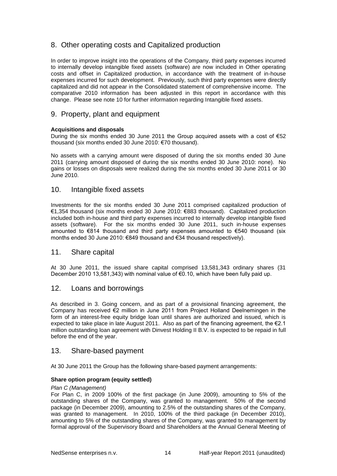## 8. Other operating costs and Capitalized production

In order to improve insight into the operations of the Company, third party expenses incurred to internally develop intangible fixed assets (software) are now included in Other operating costs and offset in Capitalized production, in accordance with the treatment of in-house expenses incurred for such development. Previously, such third party expenses were directly capitalized and did not appear in the Consolidated statement of comprehensive income. The comparative 2010 information has been adjusted in this report in accordance with this change. Please see note 10 for further information regarding Intangible fixed assets.

## 9. Property, plant and equipment

### **Acquisitions and disposals**

During the six months ended 30 June 2011 the Group acquired assets with a cost of €52 thousand (six months ended 30 June 2010: €70 thousand).

No assets with a carrying amount were disposed of during the six months ended 30 June 2011 (carrying amount disposed of during the six months ended 30 June 2010: none). No gains or losses on disposals were realized during the six months ended 30 June 2011 or 30 June 2010.

## 10. Intangible fixed assets

Investments for the six months ended 30 June 2011 comprised capitalized production of €1,354 thousand (six months ended 30 June 2010: €883 thousand). Capitalized production included both in-house and third party expenses incurred to internally develop intangible fixed assets (software). For the six months ended 30 June 2011, such in-house expenses amounted to €814 thousand and third party expenses amounted to €540 thousand (six months ended 30 June 2010: €849 thousand and €34 thousand respectively).

## 11. Share capital

At 30 June 2011, the issued share capital comprised 13,581,343 ordinary shares (31 December 2010 13,581,343) with nominal value of €0.10, which have been fully paid up.

### 12. Loans and borrowings

As described in 3. Going concern, and as part of a provisional financing agreement, the Company has received €2 million in June 2011 from Project Holland Deelnemingen in the form of an interest-free equity bridge loan until shares are authorized and issued, which is expected to take place in late August 2011. Also as part of the financing agreement, the €2.1 million outstanding loan agreement with Dinvest Holding II B.V. is expected to be repaid in full before the end of the year.

## 13. Share-based payment

At 30 June 2011 the Group has the following share-based payment arrangements:

### **Share option program (equity settled)**

#### *Plan C (Management)*

For Plan C, in 2009 100% of the first package (in June 2009), amounting to 5% of the outstanding shares of the Company, was granted to management. 50% of the second package (in December 2009), amounting to 2.5% of the outstanding shares of the Company, was granted to management. In 2010, 100% of the third package (in December 2010), amounting to 5% of the outstanding shares of the Company, was granted to management by formal approval of the Supervisory Board and Shareholders at the Annual General Meeting of